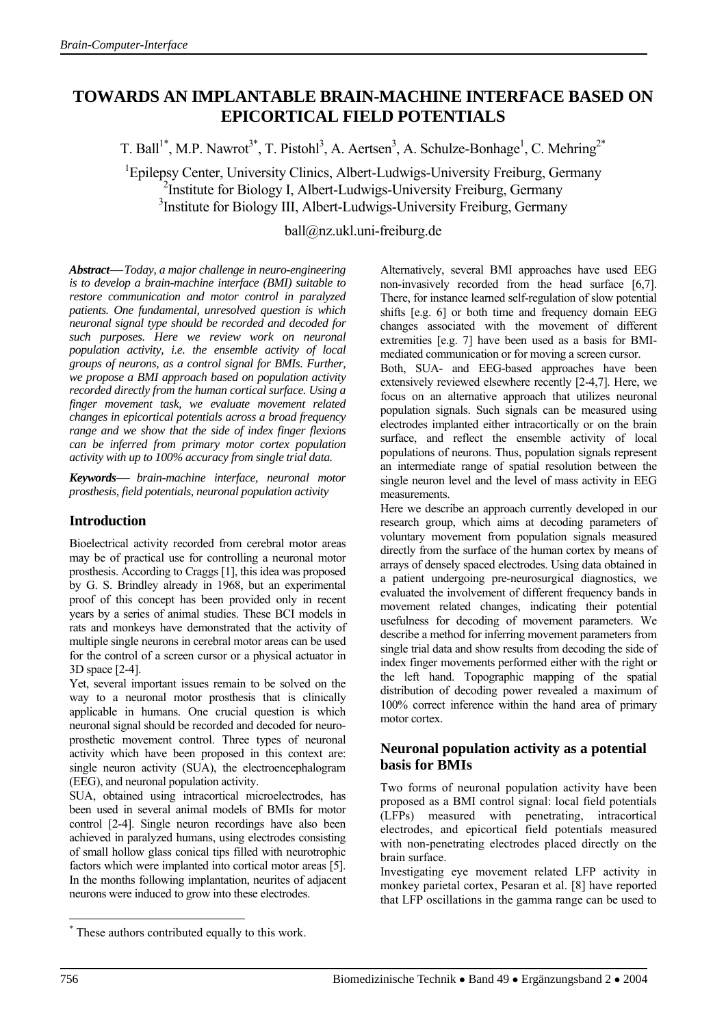# **TOWARDS AN IMPLANTABLE BRAIN-MACHINE INTERFACE BASED ON EPICORTICAL FIELD POTENTIALS**

T. Ball<sup>1\*</sup>, M.P. Nawrot<sup>3\*</sup>, T. Pistohl<sup>3</sup>, A. Aertsen<sup>3</sup>, A. Schulze-Bonhage<sup>1</sup>, C. Mehring<sup>2\*</sup>

<sup>1</sup>Epilepsy Center, University Clinics, Albert-Ludwigs-University Freiburg, Germany <sup>2</sup>Institute for Biology I, Albert-Ludwigs-University Freiburg, Germany <sup>3</sup>Institute for Biology III, Albert-Ludwigs-University Freiburg, Germany

ball@nz.ukl.uni-freiburg.de

*Abstract*⎯ *Today, a major challenge in neuro-engineering is to develop a brain-machine interface (BMI) suitable to restore communication and motor control in paralyzed patients. One fundamental, unresolved question is which neuronal signal type should be recorded and decoded for such purposes. Here we review work on neuronal population activity, i.e. the ensemble activity of local groups of neurons, as a control signal for BMIs. Further, we propose a BMI approach based on population activity recorded directly from the human cortical surface. Using a finger movement task, we evaluate movement related changes in epicortical potentials across a broad frequency range and we show that the side of index finger flexions can be inferred from primary motor cortex population activity with up to 100% accuracy from single trial data.* 

*Keywords*⎯ *brain-machine interface, neuronal motor prosthesis, field potentials, neuronal population activity*

## **Introduction**

Bioelectrical activity recorded from cerebral motor areas may be of practical use for controlling a neuronal motor prosthesis. According to Craggs [1], this idea was proposed by G. S. Brindley already in 1968, but an experimental proof of this concept has been provided only in recent years by a series of animal studies. These BCI models in rats and monkeys have demonstrated that the activity of multiple single neurons in cerebral motor areas can be used for the control of a screen cursor or a physical actuator in 3D space [2-4].

Yet, several important issues remain to be solved on the way to a neuronal motor prosthesis that is clinically applicable in humans. One crucial question is which neuronal signal should be recorded and decoded for neuroprosthetic movement control. Three types of neuronal activity which have been proposed in this context are: single neuron activity (SUA), the electroencephalogram (EEG), and neuronal population activity.

SUA, obtained using intracortical microelectrodes, has been used in several animal models of BMIs for motor control [2-4]. Single neuron recordings have also been achieved in paralyzed humans, using electrodes consisting of small hollow glass conical tips filled with neurotrophic factors which were implanted into cortical motor areas [5]. In the months following implantation, neurites of adjacent neurons were induced to grow into these electrodes.

Alternatively, several BMI approaches have used EEG non-invasively recorded from the head surface [6,7]. There, for instance learned self-regulation of slow potential shifts [e.g. 6] or both time and frequency domain EEG changes associated with the movement of different extremities [e.g. 7] have been used as a basis for BMImediated communication or for moving a screen cursor.

Both, SUA- and EEG-based approaches have been extensively reviewed elsewhere recently [2-4,7]. Here, we focus on an alternative approach that utilizes neuronal population signals. Such signals can be measured using electrodes implanted either intracortically or on the brain surface, and reflect the ensemble activity of local populations of neurons. Thus, population signals represent an intermediate range of spatial resolution between the single neuron level and the level of mass activity in EEG measurements.

Here we describe an approach currently developed in our research group, which aims at decoding parameters of voluntary movement from population signals measured directly from the surface of the human cortex by means of arrays of densely spaced electrodes. Using data obtained in a patient undergoing pre-neurosurgical diagnostics, we evaluated the involvement of different frequency bands in movement related changes, indicating their potential usefulness for decoding of movement parameters. We describe a method for inferring movement parameters from single trial data and show results from decoding the side of index finger movements performed either with the right or the left hand. Topographic mapping of the spatial distribution of decoding power revealed a maximum of 100% correct inference within the hand area of primary motor cortex.

### **Neuronal population activity as a potential basis for BMIs**

Two forms of neuronal population activity have been proposed as a BMI control signal: local field potentials (LFPs) measured with penetrating, intracortical electrodes, and epicortical field potentials measured with non-penetrating electrodes placed directly on the brain surface.

Investigating eye movement related LFP activity in monkey parietal cortex, Pesaran et al. [8] have reported that LFP oscillations in the gamma range can be used to

 $\overline{a}$ 

<sup>\*</sup> These authors contributed equally to this work.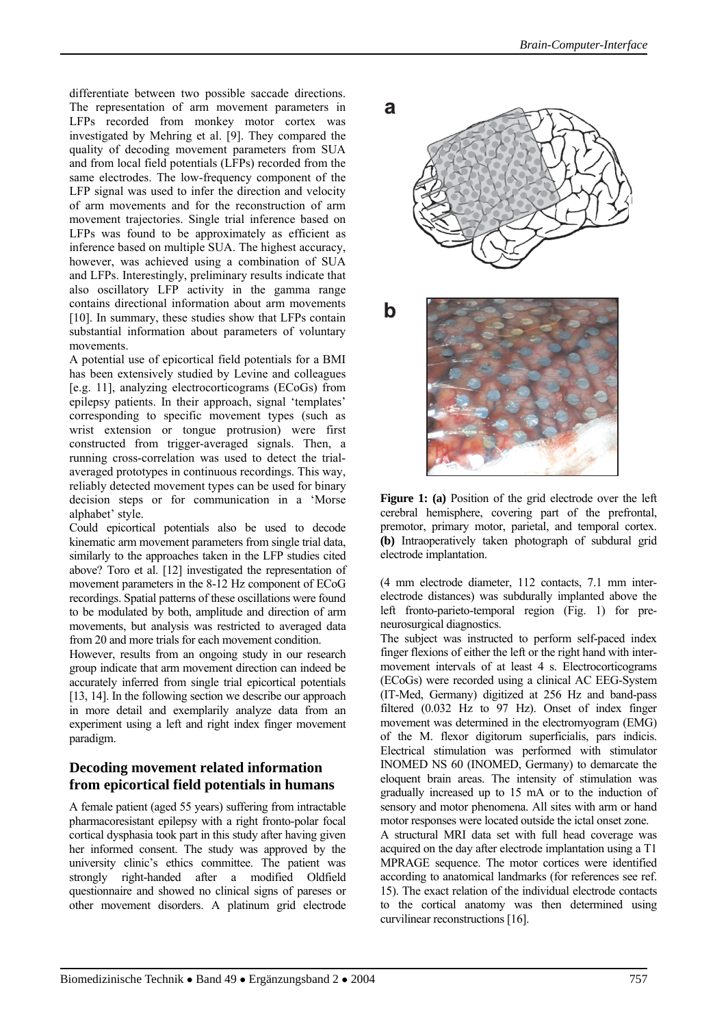differentiate between two possible saccade directions. The representation of arm movement parameters in LFPs recorded from monkey motor cortex was investigated by Mehring et al. [9]. They compared the quality of decoding movement parameters from SUA and from local field potentials (LFPs) recorded from the same electrodes. The low-frequency component of the LFP signal was used to infer the direction and velocity of arm movements and for the reconstruction of arm movement trajectories. Single trial inference based on LFPs was found to be approximately as efficient as inference based on multiple SUA. The highest accuracy, however, was achieved using a combination of SUA and LFPs. Interestingly, preliminary results indicate that also oscillatory LFP activity in the gamma range contains directional information about arm movements [10]. In summary, these studies show that LFPs contain substantial information about parameters of voluntary movements.

A potential use of epicortical field potentials for a BMI has been extensively studied by Levine and colleagues [e.g. 11], analyzing electrocorticograms (ECoGs) from epilepsy patients. In their approach, signal 'templates' corresponding to specific movement types (such as wrist extension or tongue protrusion) were first constructed from trigger-averaged signals. Then, a running cross-correlation was used to detect the trialaveraged prototypes in continuous recordings. This way, reliably detected movement types can be used for binary decision steps or for communication in a 'Morse

alphabet' style. Could epicortical potentials also be used to decode kinematic arm movement parameters from single trial data, similarly to the approaches taken in the LFP studies cited above? Toro et al. [12] investigated the representation of movement parameters in the 8-12 Hz component of ECoG recordings. Spatial patterns of these oscillations were found to be modulated by both, amplitude and direction of arm movements, but analysis was restricted to averaged data from 20 and more trials for each movement condition.

However, results from an ongoing study in our research group indicate that arm movement direction can indeed be accurately inferred from single trial epicortical potentials [13, 14]. In the following section we describe our approach in more detail and exemplarily analyze data from an experiment using a left and right index finger movement paradigm.

## **Decoding movement related information from epicortical field potentials in humans**

A female patient (aged 55 years) suffering from intractable pharmacoresistant epilepsy with a right fronto-polar focal cortical dysphasia took part in this study after having given her informed consent. The study was approved by the university clinic's ethics committee. The patient was strongly right-handed after a modified Oldfield questionnaire and showed no clinical signs of pareses or other movement disorders. A platinum grid electrode



**Figure 1: (a)** Position of the grid electrode over the left cerebral hemisphere, covering part of the prefrontal, premotor, primary motor, parietal, and temporal cortex. **(b)** Intraoperatively taken photograph of subdural grid electrode implantation.

(4 mm electrode diameter, 112 contacts, 7.1 mm interelectrode distances) was subdurally implanted above the left fronto-parieto-temporal region (Fig. 1) for preneurosurgical diagnostics.

The subject was instructed to perform self-paced index finger flexions of either the left or the right hand with intermovement intervals of at least 4 s. Electrocorticograms (ECoGs) were recorded using a clinical AC EEG-System (IT-Med, Germany) digitized at 256 Hz and band-pass filtered (0.032 Hz to 97 Hz). Onset of index finger movement was determined in the electromyogram (EMG) of the M. flexor digitorum superficialis, pars indicis. Electrical stimulation was performed with stimulator INOMED NS 60 (INOMED, Germany) to demarcate the eloquent brain areas. The intensity of stimulation was gradually increased up to 15 mA or to the induction of sensory and motor phenomena. All sites with arm or hand motor responses were located outside the ictal onset zone.

A structural MRI data set with full head coverage was acquired on the day after electrode implantation using a T1 MPRAGE sequence. The motor cortices were identified according to anatomical landmarks (for references see ref. 15). The exact relation of the individual electrode contacts to the cortical anatomy was then determined using curvilinear reconstructions [16].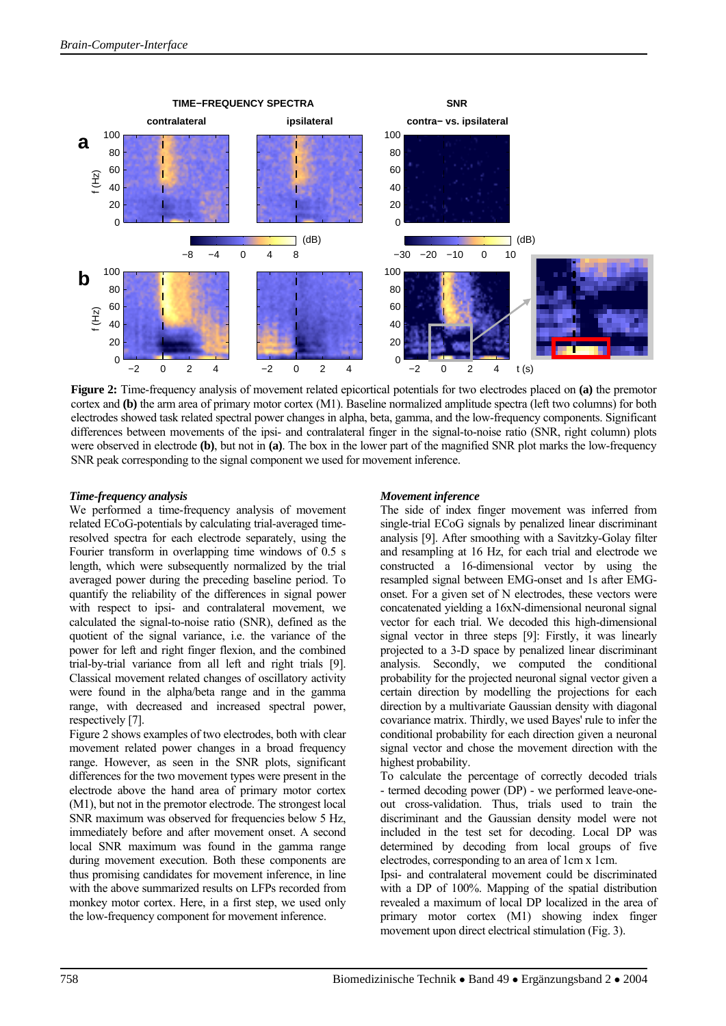

**Figure 2:** Time-frequency analysis of movement related epicortical potentials for two electrodes placed on **(a)** the premotor cortex and **(b)** the arm area of primary motor cortex (M1). Baseline normalized amplitude spectra (left two columns) for both electrodes showed task related spectral power changes in alpha, beta, gamma, and the low-frequency components. Significant differences between movements of the ipsi- and contralateral finger in the signal-to-noise ratio (SNR, right column) plots were observed in electrode **(b)**, but not in **(a)**. The box in the lower part of the magnified SNR plot marks the low-frequency SNR peak corresponding to the signal component we used for movement inference.

#### *Time-frequency analysis*

We performed a time-frequency analysis of movement related ECoG-potentials by calculating trial-averaged timeresolved spectra for each electrode separately, using the Fourier transform in overlapping time windows of 0.5 s length, which were subsequently normalized by the trial averaged power during the preceding baseline period. To quantify the reliability of the differences in signal power with respect to ipsi- and contralateral movement, we calculated the signal-to-noise ratio (SNR), defined as the quotient of the signal variance, i.e. the variance of the power for left and right finger flexion, and the combined trial-by-trial variance from all left and right trials [9]. Classical movement related changes of oscillatory activity were found in the alpha/beta range and in the gamma range, with decreased and increased spectral power, respectively [7].

Figure 2 shows examples of two electrodes, both with clear movement related power changes in a broad frequency range. However, as seen in the SNR plots, significant differences for the two movement types were present in the electrode above the hand area of primary motor cortex (M1), but not in the premotor electrode. The strongest local SNR maximum was observed for frequencies below 5 Hz, immediately before and after movement onset. A second local SNR maximum was found in the gamma range during movement execution. Both these components are thus promising candidates for movement inference, in line with the above summarized results on LFPs recorded from monkey motor cortex. Here, in a first step, we used only the low-frequency component for movement inference.

#### *Movement inference*

The side of index finger movement was inferred from single-trial ECoG signals by penalized linear discriminant analysis [9]. After smoothing with a Savitzky-Golay filter and resampling at 16 Hz, for each trial and electrode we constructed a 16-dimensional vector by using the resampled signal between EMG-onset and 1s after EMGonset. For a given set of N electrodes, these vectors were concatenated yielding a 16xN-dimensional neuronal signal vector for each trial. We decoded this high-dimensional signal vector in three steps [9]: Firstly, it was linearly projected to a 3-D space by penalized linear discriminant analysis. Secondly, we computed the conditional probability for the projected neuronal signal vector given a certain direction by modelling the projections for each direction by a multivariate Gaussian density with diagonal covariance matrix. Thirdly, we used Bayes' rule to infer the conditional probability for each direction given a neuronal signal vector and chose the movement direction with the highest probability.

To calculate the percentage of correctly decoded trials - termed decoding power (DP) - we performed leave-oneout cross-validation. Thus, trials used to train the discriminant and the Gaussian density model were not included in the test set for decoding. Local DP was determined by decoding from local groups of five electrodes, corresponding to an area of 1cm x 1cm.

Ipsi- and contralateral movement could be discriminated with a DP of 100%. Mapping of the spatial distribution revealed a maximum of local DP localized in the area of primary motor cortex (M1) showing index finger movement upon direct electrical stimulation (Fig. 3).